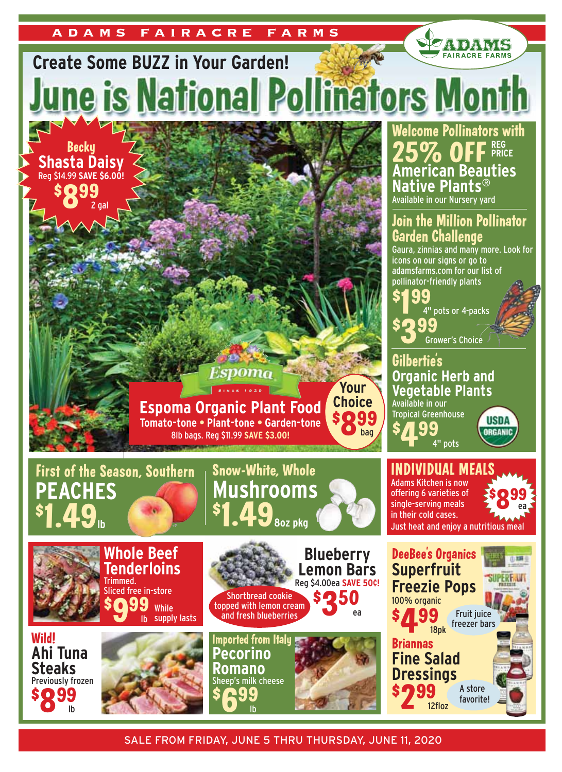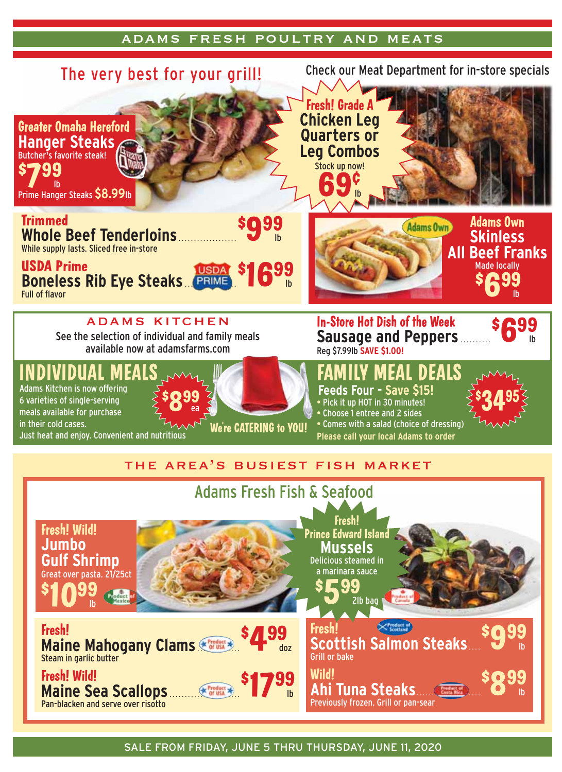## adams fresh poultry and meats

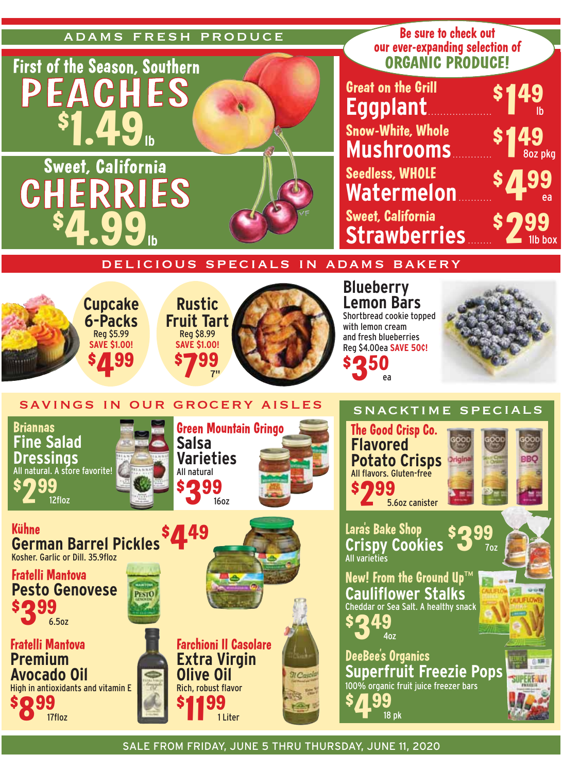















New! From the Ground  $\mathbf{Up}^{\mathsf{TN}}$ **Cauliflower Stalks** Cheddar or Sea Salt. A healthy snack SD 49  $40z$ 

**DeeBee's Organics Superfruit Freezie Pops** 100% organic fruit juice freezer bars .99 18 pk

German Barrel Pickles \$449 **Kühne** Kosher, Garlic or Dill, 35,9floz



**Fratelli Mantova Premium Avocado Oil** High in antioxidants and vitamin E \$099 17floz



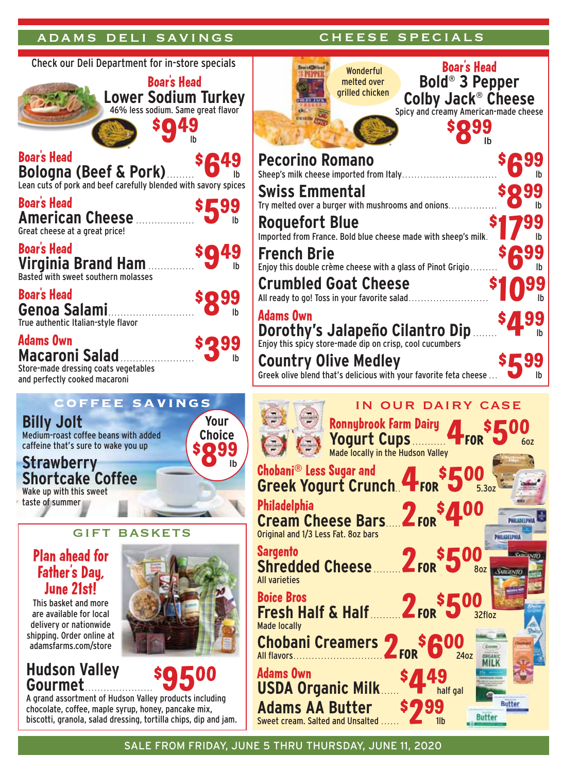## adams deli savings and cheese specials

cheese specials

| Check our Deli Department for in-store specials                                                                                                                                                                                                                                                                                                                                                                                                                                                                                                          | Wonderful                                                                                                                                                                                                                                                                                                                                                                                                                                         |
|----------------------------------------------------------------------------------------------------------------------------------------------------------------------------------------------------------------------------------------------------------------------------------------------------------------------------------------------------------------------------------------------------------------------------------------------------------------------------------------------------------------------------------------------------------|---------------------------------------------------------------------------------------------------------------------------------------------------------------------------------------------------------------------------------------------------------------------------------------------------------------------------------------------------------------------------------------------------------------------------------------------------|
| <b>Boar's Head</b><br>Lower Sodium Turkey                                                                                                                                                                                                                                                                                                                                                                                                                                                                                                                | melted over<br>grilled chicke                                                                                                                                                                                                                                                                                                                                                                                                                     |
| <b>Boar's Head</b><br><b>SQ</b><br><b>Bologna (Beef &amp; Pork) O</b> ib<br><b>Boar's Head</b><br>$s$ 599<br><b>American Cheese</b><br>Great cheese at a great price!<br><b>Boar's Head</b><br><b>sg49</b><br><b>Virginia Brand Ham</b><br>Basted with sweet southern molasses<br><b>Boar's Head</b><br><b>\$Q99</b><br>Genoa Salami.<br>I <sub>b</sub><br>True authentic Italian-style flavor<br><b>Adams Own</b><br>\$299<br><b>Macaroni Salad</b><br>Store-made dressing coats vegetables<br>and perfectly cooked macaroni                            | <b>Pecorino Romano</b><br>Sheep's milk cheese imported from<br><b>Swiss Emmental</b><br>Try melted over a burger with mush<br><b>Roquefort Blue</b><br>Imported from France. Bold blue ch<br><b>French Brie</b><br>Enjoy this double crème cheese wit<br><b>Crumbled Goat Che</b><br>All ready to go! Toss in your favorite<br><b>Adams Own</b><br><b>Dorothy's Jalapeño</b><br><b>Country Olive Medl</b><br>Greek olive blend that's delicious w |
| <b>EE SAVINGS</b><br><b>Billy Jolt</b><br>Your<br><b>Choice</b><br>Medium-roast coffee beans with added<br>caffeine that's sure to wake you up<br><b>so 99</b><br><b>Strawberry</b><br>I <sub>b</sub><br><b>Shortcake Coffee</b><br>Wake up with this sweet<br>taste of summer<br>GIFT<br><b>BASKETS</b><br><b>Plan ahead for</b><br><b>Father's Day,</b><br><b>June 21st!</b><br>This basket and more<br>are available for local<br>delivery or nationwide<br>shipping. Order online at<br>adamsfarms.com/store<br><b>Hudson Valley</b><br><b>SQ500</b> | IN (<br><b>Ronnybrook</b><br><b>Yogurt C</b><br>Made locally in<br><b>Chobani® Less Sugar and</b><br><b>Greek Yogurt Crund</b><br><b>Philadelphia</b><br><b>Cream Cheese Bars</b><br>Original and 1/3 Less Fat. 8oz bars<br>Sargento<br><b>Shredded Cheese</b><br><b>All varieties</b><br><b>Boice Bros</b><br><b>Fresh Half &amp; Half</b><br><b>Made locally</b><br><b>Chobani Creamers</b><br>All flavors<br><b>Adams Own</b>                  |
| <b>Gourmet</b><br>A grand assortment of Hudson Valley products including                                                                                                                                                                                                                                                                                                                                                                                                                                                                                 | <b>USDA Organic Milk.</b><br><b>Adams AA Butter</b>                                                                                                                                                                                                                                                                                                                                                                                               |

biscotti, granola, salad dressing, tortilla chips, dip and jam.

| <b>Boar's Head</b><br>Wonderful                                                                                                                                   |  |
|-------------------------------------------------------------------------------------------------------------------------------------------------------------------|--|
| <b>Bold<sup>®</sup> 3 Pepper</b><br>melted over<br>grilled chicken<br>Colby Jack <sup>®</sup> Cheese                                                              |  |
| Spicy and creamy American-made cheese                                                                                                                             |  |
| <b>SO99</b><br>Ih                                                                                                                                                 |  |
| <b>Pecorino Romano</b><br>Sheep's milk cheese imported from Italy                                                                                                 |  |
| <b>Swiss Emmental</b>                                                                                                                                             |  |
| Try melted over a burger with mushrooms and onions                                                                                                                |  |
| <b>Roquefort Blue</b><br>Imported from France. Bold blue cheese made with sheep's milk.<br>Ib                                                                     |  |
| <b>French Brie</b><br>Enjoy this double crème cheese with a glass of Pinot Grigio                                                                                 |  |
| <b>Crumbled Goat Cheese</b><br>All ready to go! Toss in your favorite salad<br>Ib                                                                                 |  |
| <b>Adams Own</b>                                                                                                                                                  |  |
| Dorothy's Jalapeño Cilantro Dip                                                                                                                                   |  |
| <b>Country Olive Medley</b><br>Greek olive blend that's delicious with your favorite feta cheese<br>Ib                                                            |  |
| <b>OUR DAIRY CASE</b><br><b>Ronnybrook Farm Dairy</b><br><b>Yogurt Cups</b><br><b>TFOR</b><br>6oz<br>Made locally in the Hudson Valley<br>Chobani® Less Sugar and |  |
| Greek Yogurt Crunch. 4For 350<br>5.30Z                                                                                                                            |  |
| <b>Philadelphia</b><br>Cream Cheese Bars 2FOR <sup>\$2</sup><br>PHILADELP<br>Original and 1/3 Less Fat. 8oz bars<br>PHILADELPHIA                                  |  |
| <b>Sargento</b><br>Shredded Cheese 2FOR \$500<br><b>80Z</b><br><b>All varieties</b>                                                                               |  |
| Fresh Half & Half 2For \$500<br>32floz<br><b>Made locally</b>                                                                                                     |  |
| Chobani Creamers 2 FOR<br>240z<br><b>SRGANIO</b>                                                                                                                  |  |
| <b>Adams Own</b><br><b>USDA Organic Milk</b><br>half gal                                                                                                          |  |
| <b>Butter</b><br><b>Adams AA Butter</b>                                                                                                                           |  |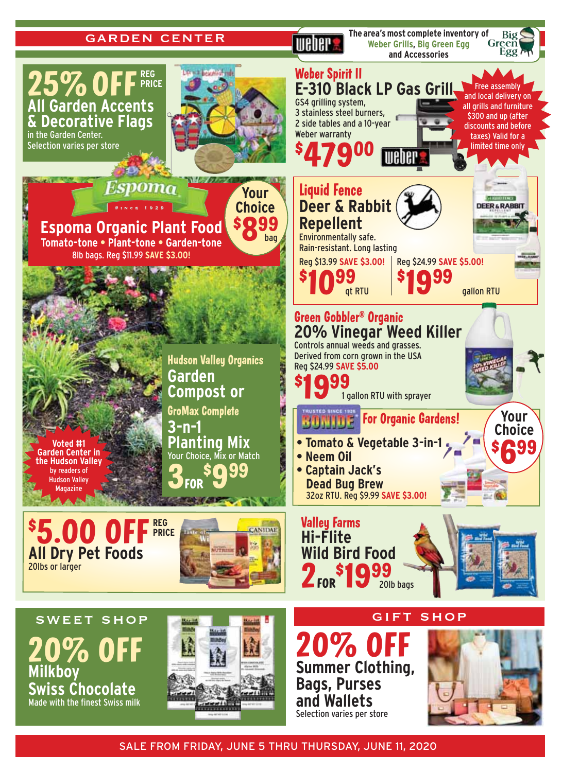## garden center

**IIIANA** 

**The area's most complete inventory of Weber Grills, Big Green Egg and Accessories**

Big

Green